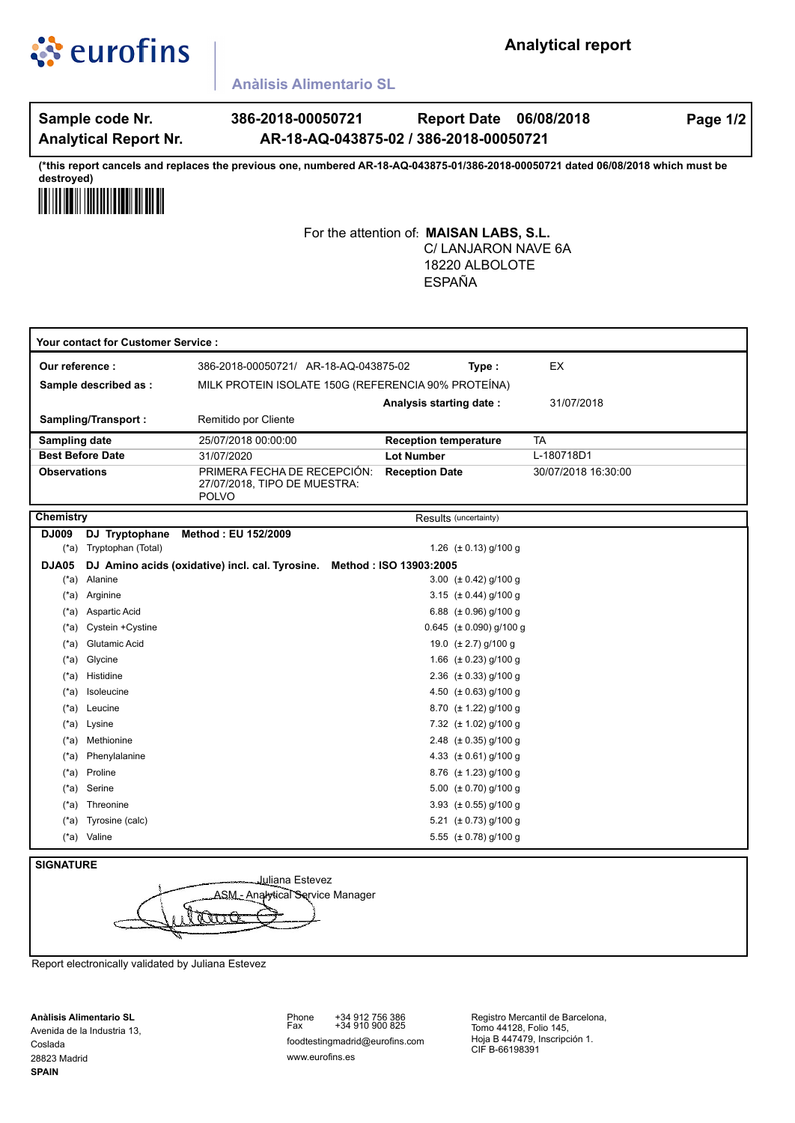

## **Analytical report**

**Anàlisis Alimentario SL**

**Analytical Report Nr.**

Sample code Nr. **386-2018-00050721 Report Date 06/08/2018 Page 1/2 Report Date AR-18-AQ-043875-02 / 386-2018-00050721**

**(\*this report cancels and replaces the previous one, numbered AR-18-AQ-043875-01/386-2018-00050721 dated 06/08/2018 which must be destroyed)**



For the attention of: **MAISAN LABS, S.L.** C/ LANJARON NAVE 6A ESPAÑA 18220 ALBOLOTE

| Your contact for Customer Service : |                                                                           |                                                                             |                              |                     |  |
|-------------------------------------|---------------------------------------------------------------------------|-----------------------------------------------------------------------------|------------------------------|---------------------|--|
| Our reference:                      |                                                                           | 386-2018-00050721/ AR-18-AQ-043875-02                                       | Type:                        | EX                  |  |
| Sample described as :               |                                                                           | MILK PROTEIN ISOLATE 150G (REFERENCIA 90% PROTEÍNA)                         |                              |                     |  |
|                                     |                                                                           |                                                                             | Analysis starting date:      | 31/07/2018          |  |
| Sampling/Transport:                 |                                                                           | Remitido por Cliente                                                        |                              |                     |  |
| Sampling date                       |                                                                           | 25/07/2018 00:00:00                                                         | <b>Reception temperature</b> | <b>TA</b>           |  |
| <b>Best Before Date</b>             |                                                                           | 31/07/2020                                                                  | <b>Lot Number</b>            | L-180718D1          |  |
| <b>Observations</b>                 |                                                                           | PRIMERA FECHA DE RECEPCIÓN:<br>27/07/2018, TIPO DE MUESTRA:<br><b>POLVO</b> | <b>Reception Date</b>        | 30/07/2018 16:30:00 |  |
| <b>Chemistry</b>                    |                                                                           | Results (uncertainty)                                                       |                              |                     |  |
| DJ009                               | DJ Tryptophane                                                            | Method: EU 152/2009                                                         |                              |                     |  |
| $(*a)$                              | Tryptophan (Total)                                                        |                                                                             | 1.26 $(\pm 0.13)$ g/100 g    |                     |  |
| DJA05                               | DJ Amino acids (oxidative) incl. cal. Tyrosine.<br>Method: ISO 13903:2005 |                                                                             |                              |                     |  |
| $(*a)$                              | Alanine                                                                   |                                                                             | 3.00 $(\pm 0.42)$ g/100 g    |                     |  |
| $(*a)$                              | Arginine                                                                  |                                                                             | 3.15 $(\pm 0.44)$ g/100 g    |                     |  |
|                                     | (*a) Aspartic Acid                                                        |                                                                             | 6.88 $(\pm 0.96)$ g/100 g    |                     |  |
| $(*a)$                              | Cystein +Cystine                                                          |                                                                             | 0.645 $(\pm 0.090)$ g/100 g  |                     |  |
| $(*a)$                              | Glutamic Acid                                                             |                                                                             | 19.0 $(\pm 2.7)$ g/100 g     |                     |  |
| (*a)                                | Glycine                                                                   |                                                                             | 1.66 $(\pm 0.23)$ g/100 g    |                     |  |
| (*a)                                | Histidine                                                                 |                                                                             | 2.36 $(\pm 0.33)$ g/100 g    |                     |  |
| (*a)                                | Isoleucine                                                                |                                                                             | 4.50 $(\pm 0.63)$ g/100 g    |                     |  |
|                                     | (*a) Leucine                                                              |                                                                             | 8.70 $(\pm 1.22)$ g/100 g    |                     |  |
|                                     | (*a) Lysine                                                               |                                                                             | 7.32 (± 1.02) g/100 g        |                     |  |
| (*a)                                | Methionine                                                                |                                                                             | 2.48 $(\pm 0.35)$ g/100 g    |                     |  |
| (*a)                                | Phenylalanine                                                             |                                                                             | 4.33 $(\pm 0.61)$ g/100 g    |                     |  |
| $(*a)$                              | Proline                                                                   |                                                                             | 8.76 (± 1.23) g/100 g        |                     |  |
| $(*a)$                              | Serine                                                                    |                                                                             | 5.00 $(\pm 0.70)$ g/100 g    |                     |  |
| (*a)                                | Threonine                                                                 |                                                                             | 3.93 $(\pm 0.55)$ g/100 g    |                     |  |
| (*a)                                | Tyrosine (calc)                                                           |                                                                             | 5.21 $(\pm 0.73)$ g/100 g    |                     |  |
|                                     | (*a) Valine                                                               |                                                                             | 5.55 $(\pm 0.78)$ g/100 g    |                     |  |

### **SIGNATURE**



Report electronically validated by Juliana Estevez

**Anàlisis Alimentario SL** Avenida de la Industria 13, Coslada 28823 Madrid **SPAIN**

www.eurofins.es +34 912 756 386 +34 910 900 825 Phone Fax foodtestingmadrid@eurofins.com

Registro Mercantil de Barcelona, Tomo 44128, Folio 145, Hoja B 447479, Inscripción 1. CIF B-66198391